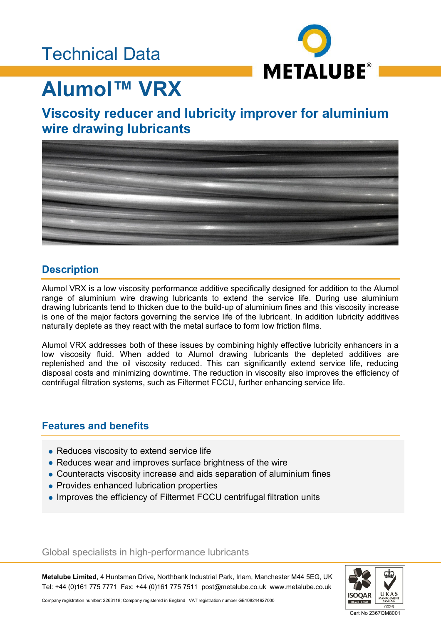# Technical Data



# **Alumol™ VRX**

### **Viscosity reducer and lubricity improver for aluminium wire drawing lubricants**



### **Description**

Alumol VRX is a low viscosity performance additive specifically designed for addition to the Alumol range of aluminium wire drawing lubricants to extend the service life. During use aluminium drawing lubricants tend to thicken due to the build-up of aluminium fines and this viscosity increase is one of the major factors governing the service life of the lubricant. In addition lubricity additives naturally deplete as they react with the metal surface to form low friction films.

Alumol VRX addresses both of these issues by combining highly effective lubricity enhancers in a low viscosity fluid. When added to Alumol drawing lubricants the depleted additives are replenished and the oil viscosity reduced. This can significantly extend service life, reducing disposal costs and minimizing downtime. The reduction in viscosity also improves the efficiency of centrifugal filtration systems, such as Filtermet FCCU, further enhancing service life.

### **Features and benefits**

- Reduces viscosity to extend service life
- Reduces wear and improves surface brightness of the wire
- Counteracts viscosity increase and aids separation of aluminium fines
- Provides enhanced lubrication properties
- Improves the efficiency of Filtermet FCCU centrifugal filtration units

#### Global specialists in high-performance lubricants

**Metalube Limited**, 4 Huntsman Drive, Northbank Industrial Park, Irlam, Manchester M44 5EG, UK Tel: +44 (0)161 775 7771 Fax: +44 (0)161 775 7511 post@metalube.co.uk www.metalube.co.uk



Company registration number: 2263118; Company registered in England VAT registration number GB108244927000